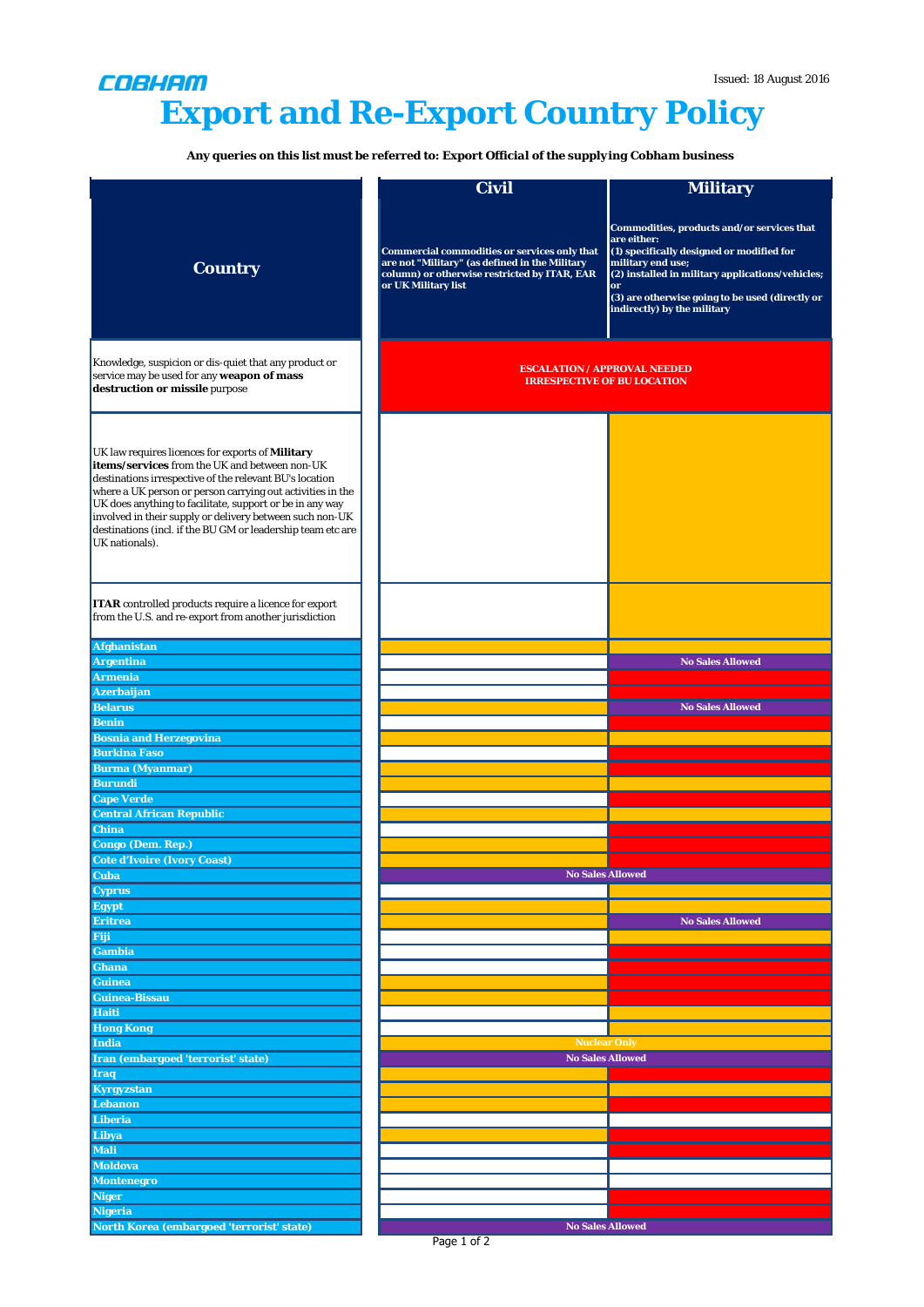## COBHAM **Export and Re-Export Country Policy**

**Any queries on this list must be referred to:** *Export Official of the supplying Cobham business*

|                                                                                                                                                                                                                                                                                                                                                                                                                                            | Civil                                                                                                                                                                        | <b>Military</b>                                                                                                                                                                                                                                                         |
|--------------------------------------------------------------------------------------------------------------------------------------------------------------------------------------------------------------------------------------------------------------------------------------------------------------------------------------------------------------------------------------------------------------------------------------------|------------------------------------------------------------------------------------------------------------------------------------------------------------------------------|-------------------------------------------------------------------------------------------------------------------------------------------------------------------------------------------------------------------------------------------------------------------------|
| <b>Country</b>                                                                                                                                                                                                                                                                                                                                                                                                                             | <b>Commercial commodities or services only that</b><br>are not "Military" (as defined in the Military<br>column) or otherwise restricted by ITAR, EAR<br>or UK Military list | Commodities, products and/or services that<br>are either:<br>(1) specifically designed or modified for<br>military end use;<br>(2) installed in military applications/vehicles;<br>or<br>(3) are otherwise going to be used (directly or<br>indirectly) by the military |
| Knowledge, suspicion or dis-quiet that any product or<br>service may be used for any weapon of mass<br>destruction or missile purpose                                                                                                                                                                                                                                                                                                      | <b>ESCALATION / APPROVAL NEEDED</b><br><b>IRRESPECTIVE OF BU LOCATION</b>                                                                                                    |                                                                                                                                                                                                                                                                         |
| UK law requires licences for exports of <b>Military</b><br>items/services from the UK and between non-UK<br>destinations irrespective of the relevant BU's location<br>where a UK person or person carrying out activities in the<br>UK does anything to facilitate, support or be in any way<br>involved in their supply or delivery between such non-UK<br>destinations (incl. if the BU GM or leadership team etc are<br>UK nationals). |                                                                                                                                                                              |                                                                                                                                                                                                                                                                         |
| <b>ITAR</b> controlled products require a licence for export<br>from the U.S. and re-export from another jurisdiction                                                                                                                                                                                                                                                                                                                      |                                                                                                                                                                              |                                                                                                                                                                                                                                                                         |
| <b>Afghanistan</b>                                                                                                                                                                                                                                                                                                                                                                                                                         |                                                                                                                                                                              |                                                                                                                                                                                                                                                                         |
| <b>Argentina</b>                                                                                                                                                                                                                                                                                                                                                                                                                           |                                                                                                                                                                              | <b>No Sales Allowed</b>                                                                                                                                                                                                                                                 |
| <b>Armenia</b>                                                                                                                                                                                                                                                                                                                                                                                                                             |                                                                                                                                                                              |                                                                                                                                                                                                                                                                         |
| Azerbaijan                                                                                                                                                                                                                                                                                                                                                                                                                                 |                                                                                                                                                                              |                                                                                                                                                                                                                                                                         |
| <b>Belarus</b>                                                                                                                                                                                                                                                                                                                                                                                                                             |                                                                                                                                                                              | <b>No Sales Allowed</b>                                                                                                                                                                                                                                                 |
| <b>Benin</b>                                                                                                                                                                                                                                                                                                                                                                                                                               |                                                                                                                                                                              |                                                                                                                                                                                                                                                                         |
| <b>Bosnia and Herzegovina</b><br><b>Burkina Faso</b>                                                                                                                                                                                                                                                                                                                                                                                       |                                                                                                                                                                              |                                                                                                                                                                                                                                                                         |
| <b>Burma (Myanmar)</b>                                                                                                                                                                                                                                                                                                                                                                                                                     |                                                                                                                                                                              |                                                                                                                                                                                                                                                                         |
| <b>Burundi</b>                                                                                                                                                                                                                                                                                                                                                                                                                             |                                                                                                                                                                              |                                                                                                                                                                                                                                                                         |
| <b>Cape Verde</b>                                                                                                                                                                                                                                                                                                                                                                                                                          |                                                                                                                                                                              |                                                                                                                                                                                                                                                                         |
| <b>Central African Republic</b>                                                                                                                                                                                                                                                                                                                                                                                                            |                                                                                                                                                                              |                                                                                                                                                                                                                                                                         |
| <b>China</b>                                                                                                                                                                                                                                                                                                                                                                                                                               |                                                                                                                                                                              |                                                                                                                                                                                                                                                                         |
| Congo (Dem. Rep.)                                                                                                                                                                                                                                                                                                                                                                                                                          |                                                                                                                                                                              |                                                                                                                                                                                                                                                                         |
| <b>Cote d'Ivoire (Ivory Coast)</b>                                                                                                                                                                                                                                                                                                                                                                                                         |                                                                                                                                                                              |                                                                                                                                                                                                                                                                         |
| <b>Cuba</b>                                                                                                                                                                                                                                                                                                                                                                                                                                | <b>No Sales Allowed</b>                                                                                                                                                      |                                                                                                                                                                                                                                                                         |
| <b>Cyprus</b><br><b>Egypt</b>                                                                                                                                                                                                                                                                                                                                                                                                              |                                                                                                                                                                              |                                                                                                                                                                                                                                                                         |
| <b>Eritrea</b>                                                                                                                                                                                                                                                                                                                                                                                                                             |                                                                                                                                                                              | <b>No Sales Allowed</b>                                                                                                                                                                                                                                                 |
| Fiji                                                                                                                                                                                                                                                                                                                                                                                                                                       |                                                                                                                                                                              |                                                                                                                                                                                                                                                                         |
| <b>Gambia</b>                                                                                                                                                                                                                                                                                                                                                                                                                              |                                                                                                                                                                              |                                                                                                                                                                                                                                                                         |
| <b>Ghana</b>                                                                                                                                                                                                                                                                                                                                                                                                                               |                                                                                                                                                                              |                                                                                                                                                                                                                                                                         |
| <b>Guinea</b>                                                                                                                                                                                                                                                                                                                                                                                                                              |                                                                                                                                                                              |                                                                                                                                                                                                                                                                         |
| Guinea-Bissau                                                                                                                                                                                                                                                                                                                                                                                                                              |                                                                                                                                                                              |                                                                                                                                                                                                                                                                         |
| <b>Haiti</b>                                                                                                                                                                                                                                                                                                                                                                                                                               |                                                                                                                                                                              |                                                                                                                                                                                                                                                                         |
| <b>Hong Kong</b><br><b>India</b>                                                                                                                                                                                                                                                                                                                                                                                                           | <b>Nuclear Only</b>                                                                                                                                                          |                                                                                                                                                                                                                                                                         |
| Iran (embargoed 'terrorist' state)                                                                                                                                                                                                                                                                                                                                                                                                         | <b>No Sales Allowed</b>                                                                                                                                                      |                                                                                                                                                                                                                                                                         |
| <b>Iraq</b>                                                                                                                                                                                                                                                                                                                                                                                                                                |                                                                                                                                                                              |                                                                                                                                                                                                                                                                         |
| <b>Kyrgyzstan</b>                                                                                                                                                                                                                                                                                                                                                                                                                          |                                                                                                                                                                              |                                                                                                                                                                                                                                                                         |
| <b>Lebanon</b>                                                                                                                                                                                                                                                                                                                                                                                                                             |                                                                                                                                                                              |                                                                                                                                                                                                                                                                         |
| <b>Liberia</b>                                                                                                                                                                                                                                                                                                                                                                                                                             |                                                                                                                                                                              |                                                                                                                                                                                                                                                                         |
| Libya                                                                                                                                                                                                                                                                                                                                                                                                                                      |                                                                                                                                                                              |                                                                                                                                                                                                                                                                         |
| <b>Mali</b>                                                                                                                                                                                                                                                                                                                                                                                                                                |                                                                                                                                                                              |                                                                                                                                                                                                                                                                         |
| <b>Moldova</b>                                                                                                                                                                                                                                                                                                                                                                                                                             |                                                                                                                                                                              |                                                                                                                                                                                                                                                                         |
| <b>Montenegro</b>                                                                                                                                                                                                                                                                                                                                                                                                                          |                                                                                                                                                                              |                                                                                                                                                                                                                                                                         |
| <b>Niger</b><br><b>Nigeria</b>                                                                                                                                                                                                                                                                                                                                                                                                             |                                                                                                                                                                              |                                                                                                                                                                                                                                                                         |
| North Korea (embargoed 'terrorist' state)                                                                                                                                                                                                                                                                                                                                                                                                  |                                                                                                                                                                              | <b>No Sales Allowed</b>                                                                                                                                                                                                                                                 |